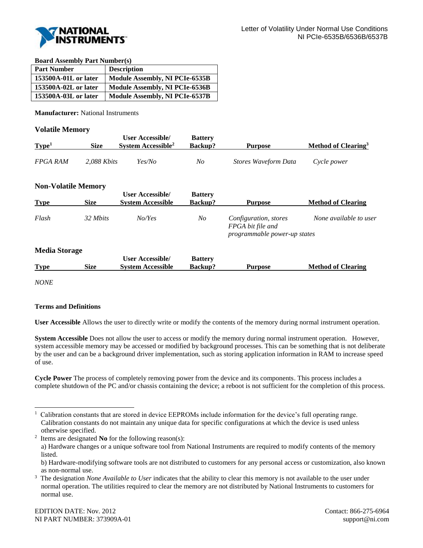

**Board Assembly Part Number(s)**

| <b>Part Number</b>   | <b>Description</b>             |
|----------------------|--------------------------------|
| 153500A-01L or later | Module Assembly, NI PCIe-6535B |
| 153500A-02L or later | Module Assembly, NI PCIe-6536B |
| 153500A-03L or later | Module Assembly, NI PCIe-6537B |

**Manufacturer:** National Instruments

## **Volatile Memory**

| Type <sup>1</sup>          | <b>Size</b> | <b>User Accessible/</b><br>System Accessible <sup>2</sup> | <b>Battery</b><br><b>Backup?</b> | Purpose              | Method of Clearing <sup>3</sup> |
|----------------------------|-------------|-----------------------------------------------------------|----------------------------------|----------------------|---------------------------------|
| FPGA RAM                   | 2.088 Kbits | Yes/No                                                    | No                               | Stores Waveform Data | Cycle power                     |
| <b>Non-Volatile Memory</b> |             |                                                           |                                  |                      |                                 |

| <b>Type</b>          | <b>Size</b> | <b>User Accessible/</b><br><b>System Accessible</b> | <b>Battery</b><br>Backup?        | <b>Purpose</b>                                                             | <b>Method of Clearing</b> |
|----------------------|-------------|-----------------------------------------------------|----------------------------------|----------------------------------------------------------------------------|---------------------------|
| Flash                | 32 Mbits    | NoYes                                               | No                               | Configuration, stores<br>FPGA bit file and<br>programmable power-up states | None available to user    |
| <b>Media Storage</b> |             |                                                     |                                  |                                                                            |                           |
| <b>Type</b>          | <b>Size</b> | <b>User Accessible/</b><br><b>System Accessible</b> | <b>Battery</b><br><b>Backup?</b> | <b>Purpose</b>                                                             | <b>Method of Clearing</b> |

*NONE*

l

## **Terms and Definitions**

**User Accessible** Allows the user to directly write or modify the contents of the memory during normal instrument operation.

**System Accessible** Does not allow the user to access or modify the memory during normal instrument operation. However, system accessible memory may be accessed or modified by background processes. This can be something that is not deliberate by the user and can be a background driver implementation, such as storing application information in RAM to increase speed of use.

**Cycle Power** The process of completely removing power from the device and its components. This process includes a complete shutdown of the PC and/or chassis containing the device; a reboot is not sufficient for the completion of this process.

<sup>1</sup> Calibration constants that are stored in device EEPROMs include information for the device's full operating range. Calibration constants do not maintain any unique data for specific configurations at which the device is used unless otherwise specified.

<sup>2</sup> Items are designated **No** for the following reason(s):

a) Hardware changes or a unique software tool from National Instruments are required to modify contents of the memory listed.

b) Hardware-modifying software tools are not distributed to customers for any personal access or customization, also known as non-normal use.

<sup>3</sup> The designation *None Available to User* indicates that the ability to clear this memory is not available to the user under normal operation. The utilities required to clear the memory are not distributed by National Instruments to customers for normal use.